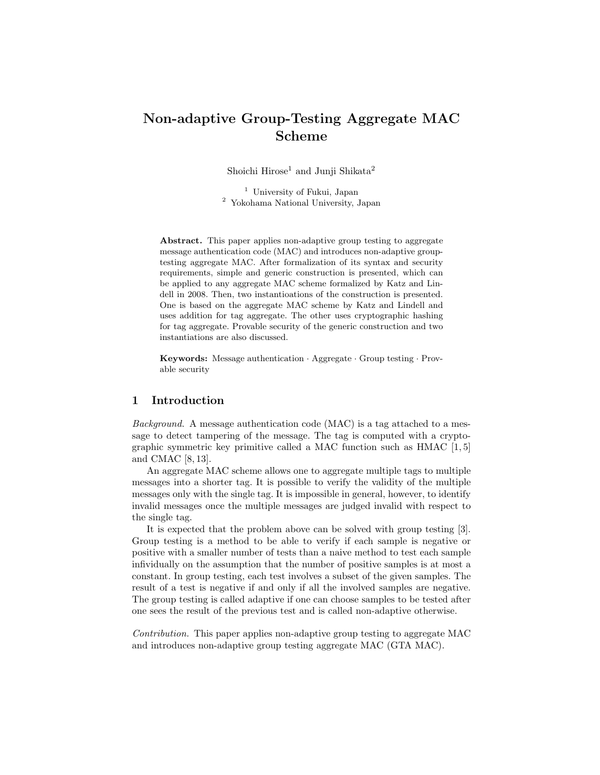# Non-adaptive Group-Testing Aggregate MAC Scheme

Shoichi Hirose<sup>1</sup> and Junji Shikata<sup>2</sup>

<sup>1</sup> University of Fukui, Japan <sup>2</sup> Yokohama National University, Japan

Abstract. This paper applies non-adaptive group testing to aggregate message authentication code (MAC) and introduces non-adaptive grouptesting aggregate MAC. After formalization of its syntax and security requirements, simple and generic construction is presented, which can be applied to any aggregate MAC scheme formalized by Katz and Lindell in 2008. Then, two instantioations of the construction is presented. One is based on the aggregate MAC scheme by Katz and Lindell and uses addition for tag aggregate. The other uses cryptographic hashing for tag aggregate. Provable security of the generic construction and two instantiations are also discussed.

Keywords: Message authentication · Aggregate · Group testing · Provable security

### 1 Introduction

Background. A message authentication code (MAC) is a tag attached to a message to detect tampering of the message. The tag is computed with a cryptographic symmetric key primitive called a MAC function such as HMAC [1, 5] and CMAC [8, 13].

An aggregate MAC scheme allows one to aggregate multiple tags to multiple messages into a shorter tag. It is possible to verify the validity of the multiple messages only with the single tag. It is impossible in general, however, to identify invalid messages once the multiple messages are judged invalid with respect to the single tag.

It is expected that the problem above can be solved with group testing [3]. Group testing is a method to be able to verify if each sample is negative or positive with a smaller number of tests than a naive method to test each sample infividually on the assumption that the number of positive samples is at most a constant. In group testing, each test involves a subset of the given samples. The result of a test is negative if and only if all the involved samples are negative. The group testing is called adaptive if one can choose samples to be tested after one sees the result of the previous test and is called non-adaptive otherwise.

Contribution. This paper applies non-adaptive group testing to aggregate MAC and introduces non-adaptive group testing aggregate MAC (GTA MAC).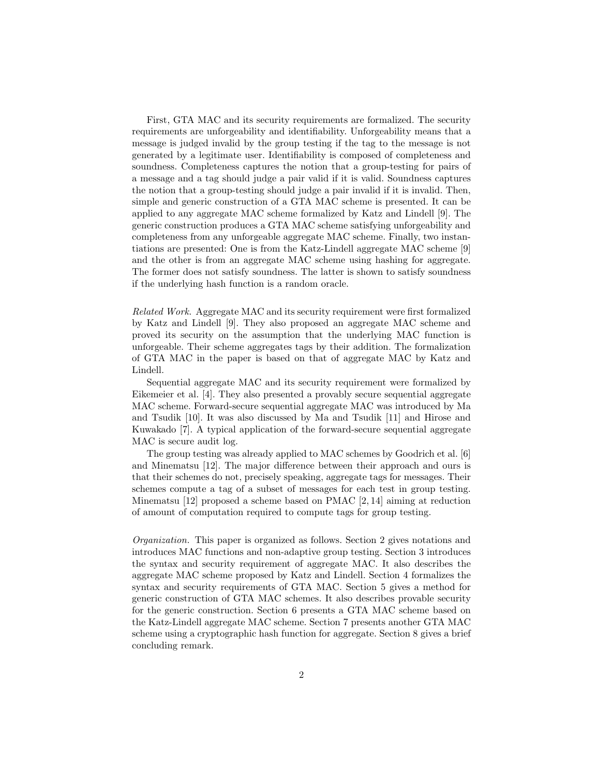First, GTA MAC and its security requirements are formalized. The security requirements are unforgeability and identifiability. Unforgeability means that a message is judged invalid by the group testing if the tag to the message is not generated by a legitimate user. Identifiability is composed of completeness and soundness. Completeness captures the notion that a group-testing for pairs of a message and a tag should judge a pair valid if it is valid. Soundness captures the notion that a group-testing should judge a pair invalid if it is invalid. Then, simple and generic construction of a GTA MAC scheme is presented. It can be applied to any aggregate MAC scheme formalized by Katz and Lindell [9]. The generic construction produces a GTA MAC scheme satisfying unforgeability and completeness from any unforgeable aggregate MAC scheme. Finally, two instantiations are presented: One is from the Katz-Lindell aggregate MAC scheme [9] and the other is from an aggregate MAC scheme using hashing for aggregate. The former does not satisfy soundness. The latter is shown to satisfy soundness if the underlying hash function is a random oracle.

Related Work. Aggregate MAC and its security requirement were first formalized by Katz and Lindell [9]. They also proposed an aggregate MAC scheme and proved its security on the assumption that the underlying MAC function is unforgeable. Their scheme aggregates tags by their addition. The formalization of GTA MAC in the paper is based on that of aggregate MAC by Katz and Lindell.

Sequential aggregate MAC and its security requirement were formalized by Eikemeier et al. [4]. They also presented a provably secure sequential aggregate MAC scheme. Forward-secure sequential aggregate MAC was introduced by Ma and Tsudik [10]. It was also discussed by Ma and Tsudik [11] and Hirose and Kuwakado [7]. A typical application of the forward-secure sequential aggregate MAC is secure audit log.

The group testing was already applied to MAC schemes by Goodrich et al. [6] and Minematsu [12]. The major difference between their approach and ours is that their schemes do not, precisely speaking, aggregate tags for messages. Their schemes compute a tag of a subset of messages for each test in group testing. Minematsu  $[12]$  proposed a scheme based on PMAC  $[2, 14]$  aiming at reduction of amount of computation required to compute tags for group testing.

Organization. This paper is organized as follows. Section 2 gives notations and introduces MAC functions and non-adaptive group testing. Section 3 introduces the syntax and security requirement of aggregate MAC. It also describes the aggregate MAC scheme proposed by Katz and Lindell. Section 4 formalizes the syntax and security requirements of GTA MAC. Section 5 gives a method for generic construction of GTA MAC schemes. It also describes provable security for the generic construction. Section 6 presents a GTA MAC scheme based on the Katz-Lindell aggregate MAC scheme. Section 7 presents another GTA MAC scheme using a cryptographic hash function for aggregate. Section 8 gives a brief concluding remark.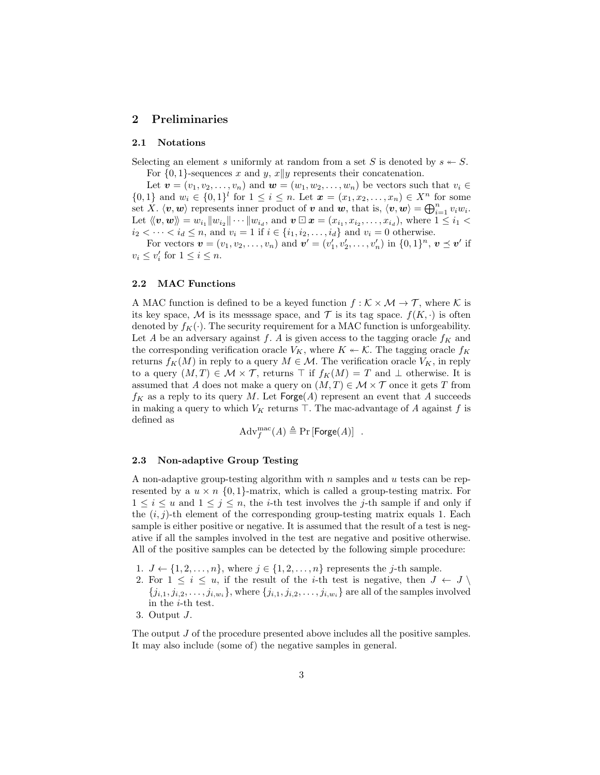## 2 Preliminaries

#### 2.1 Notations

Selecting an element s uniformly at random from a set S is denoted by  $s \leftarrow S$ . For  $\{0,1\}$ -sequences x and y, x||y represents their concatenation.

Let  $\mathbf{v} = (v_1, v_2, \dots, v_n)$  and  $\mathbf{w} = (w_1, w_2, \dots, w_n)$  be vectors such that  $v_i \in$  $\{0,1\}$  and  $w_i \in \{0,1\}^l$  for  $1 \leq i \leq n$ . Let  $\mathbf{x} = (x_1, x_2, \ldots, x_n) \in X^n$  for some set X.  $\langle v, w \rangle$  represents inner product of v and w, that is,  $\langle v, w \rangle = \bigoplus_{i=1}^n v_i w_i$ . Let  $\langle v, w \rangle = w_{i_1} ||w_{i_2}|| \cdots ||w_{i_d}$ , and  $v \square x = (x_{i_1}, x_{i_2}, \ldots, x_{i_d})$ , where  $1 \leq i_1 <$  $i_2 < \cdots < i_d \le n$ , and  $v_i = 1$  if  $i \in \{i_1, i_2, \ldots, i_d\}$  and  $v_i = 0$  otherwise.

For vectors  $\mathbf{v} = (v_1, v_2, \dots, v_n)$  and  $\mathbf{v}' = (v'_1, v'_2, \dots, v'_n)$  in  $\{0, 1\}^n$ ,  $\mathbf{v} \preceq \mathbf{v}'$  if  $v_i \leq v'_i$  for  $1 \leq i \leq n$ .

#### 2.2 MAC Functions

A MAC function is defined to be a keyed function  $f : \mathcal{K} \times \mathcal{M} \to \mathcal{T}$ , where  $\mathcal{K}$  is its key space, M is its messsage space, and T is its tag space.  $f(K, \cdot)$  is often denoted by  $f_K(\cdot)$ . The security requirement for a MAC function is unforgeability. Let A be an adversary against f. A is given access to the tagging oracle  $f_K$  and the corresponding verification oracle  $V_K$ , where  $K \leftarrow \mathcal{K}$ . The tagging oracle  $f_K$ returns  $f_K(M)$  in reply to a query  $M \in \mathcal{M}$ . The verification oracle  $V_K$ , in reply to a query  $(M, T) \in \mathcal{M} \times \mathcal{T}$ , returns  $\top$  if  $f_K(M) = T$  and  $\bot$  otherwise. It is assumed that A does not make a query on  $(M, T) \in \mathcal{M} \times \mathcal{T}$  once it gets T from  $f_K$  as a reply to its query M. Let Forge $(A)$  represent an event that A succeeds in making a query to which  $V_K$  returns  $\top$ . The mac-advantage of A against f is defined as

$$
Adv_f^{\text{mac}}(A) \triangleq \Pr[\text{Forge}(A)] .
$$

#### 2.3 Non-adaptive Group Testing

A non-adaptive group-testing algorithm with  $n$  samples and  $u$  tests can be represented by a  $u \times n$  {0, 1}-matrix, which is called a group-testing matrix. For  $1 \leq i \leq u$  and  $1 \leq j \leq n$ , the *i*-th test involves the *j*-th sample if and only if the  $(i, j)$ -th element of the corresponding group-testing matrix equals 1. Each sample is either positive or negative. It is assumed that the result of a test is negative if all the samples involved in the test are negative and positive otherwise. All of the positive samples can be detected by the following simple procedure:

- 1.  $J \leftarrow \{1, 2, \ldots, n\}$ , where  $j \in \{1, 2, \ldots, n\}$  represents the j-th sample.
- 2. For  $1 \leq i \leq u$ , if the result of the *i*-th test is negative, then  $J \leftarrow J \setminus$  $\{j_{i,1}, j_{i,2}, \ldots, j_{i,w_i}\}\$ , where  $\{j_{i,1}, j_{i,2}, \ldots, j_{i,w_i}\}\$  are all of the samples involved in the i-th test.
- 3. Output J.

The output *J* of the procedure presented above includes all the positive samples. It may also include (some of) the negative samples in general.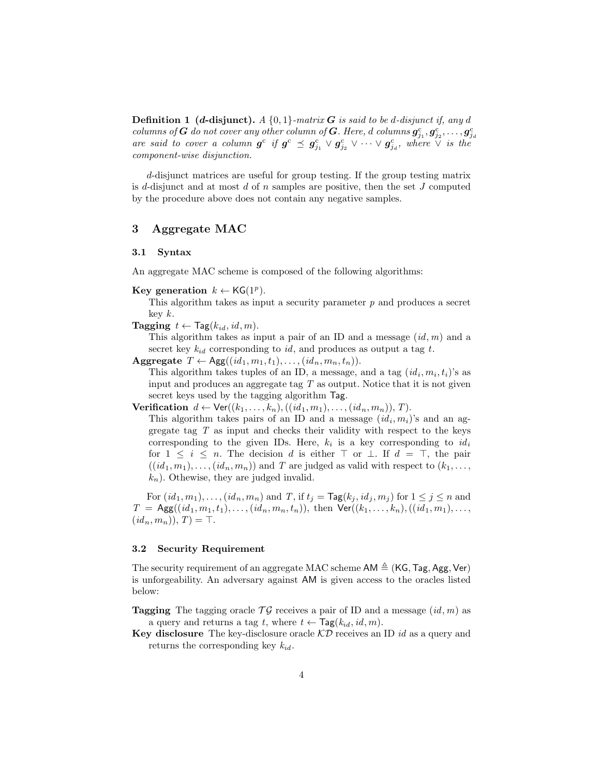**Definition 1 (d-disjunct).** A  $\{0,1\}$ -matrix **G** is said to be d-disjunct if, any d columns of  $G$  do not cover any other column of  $G$ . Here, d columns  $g_{j_1}^{\rm c}, g_{j_2}^{\rm c}, \ldots, g_{j_d}^{\rm c}$ are said to cover a column  $g^c$  if  $g^c \preceq g_{j_1}^c \vee g_{j_2}^c \vee \cdots \vee g_{j_d}^c$ , where  $\vee$  is the component-wise disjunction.

d-disjunct matrices are useful for group testing. If the group testing matrix is d-disjunct and at most  $d$  of  $n$  samples are positive, then the set  $J$  computed by the procedure above does not contain any negative samples.

# 3 Aggregate MAC

#### 3.1 Syntax

An aggregate MAC scheme is composed of the following algorithms:

Key generation  $k \leftarrow \mathsf{KG}(1^p)$ .

This algorithm takes as input a security parameter  $p$  and produces a secret key  $k$ .

**Tagging**  $t \leftarrow \text{Tag}(k_{id}, id, m)$ .

This algorithm takes as input a pair of an ID and a message  $(id, m)$  and a secret key  $k_{id}$  corresponding to id, and produces as output a tag t.

Aggregate  $T \leftarrow \text{Agg}((id_1, m_1, t_1), \ldots, (id_n, m_n, t_n)).$ 

This algorithm takes tuples of an ID, a message, and a tag  $(id_i, m_i, t_i)$ 's as input and produces an aggregate tag T as output. Notice that it is not given secret keys used by the tagging algorithm Tag.

**Verification**  $d \leftarrow \text{Ver}((k_1, \ldots, k_n), ((id_1, m_1), \ldots, (id_n, m_n)), T)$ .

This algorithm takes pairs of an ID and a message  $(id_i, m_i)$ 's and an aggregate tag T as input and checks their validity with respect to the keys corresponding to the given IDs. Here,  $k_i$  is a key corresponding to  $id_i$ for  $1 \leq i \leq n$ . The decision d is either  $\top$  or  $\bot$ . If  $d = \top$ , the pair  $((id_1, m_1), \ldots, (id_n, m_n))$  and T are judged as valid with respect to  $(k_1, \ldots, k_n)$  $k_n$ ). Othewise, they are judged invalid.

For  $(id_1, m_1), \ldots, (id_n, m_n)$  and T, if  $t_j = \text{Tag}(k_j, id_j, m_j)$  for  $1 \leq j \leq n$  and  $T = \text{Agg}((id_1, m_1, t_1), \ldots, (id_n, m_n, t_n)),$  then  $\text{Ver}((k_1, \ldots, k_n), ((id_1, m_1), \ldots,$  $(id_n, m_n)), T) = \top.$ 

#### 3.2 Security Requirement

The security requirement of an aggregate MAC scheme  $AM \triangleq (KG, Tag, Agg, Ver)$ is unforgeability. An adversary against AM is given access to the oracles listed below:

**Tagging** The tagging oracle  $\mathcal{T}\mathcal{G}$  receives a pair of ID and a message  $(id, m)$  as a query and returns a tag t, where  $t \leftarrow \text{Tag}(k_{id}, id, m)$ .

Key disclosure The key-disclosure oracle  $\mathcal{KD}$  receives an ID id as a query and returns the corresponding key  $k_{id}$ .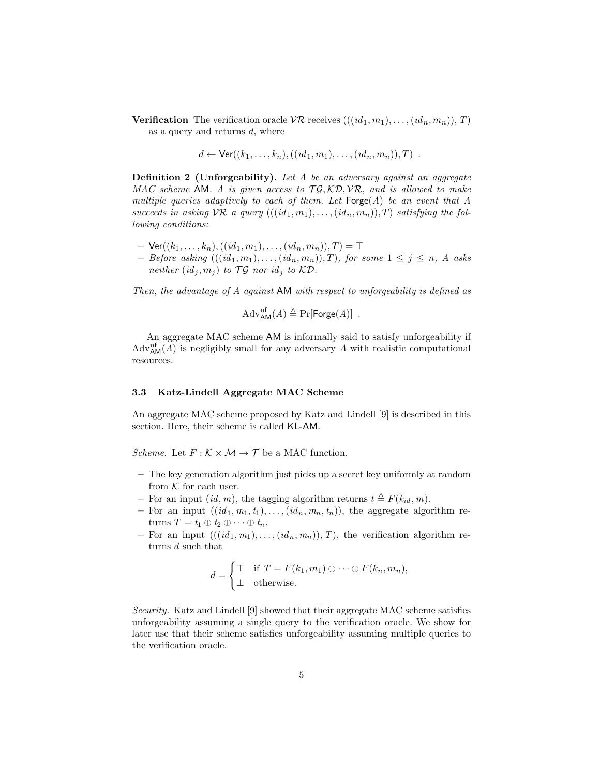**Verification** The verification oracle  $VR$  receives  $(((id_1, m_1), \ldots, (id_n, m_n)), T)$ as a query and returns  $d$ , where

$$
d \leftarrow \text{Ver}((k_1,...,k_n),((id_1,m_1),...,(id_n,m_n)),T)
$$
.

Definition 2 (Unforgeability). Let A be an adversary against an aggregate MAC scheme AM. A is given access to  $\mathcal{T}\mathcal{G},\mathcal{K}\mathcal{D},\mathcal{VR},$  and is allowed to make multiple queries adaptively to each of them. Let  $\mathsf{Forge}(A)$  be an event that A succeeds in asking  ${\cal{VR}}$  a query  $(((id_1, m_1), \ldots, (id_n, m_n)), T)$  satisfying the following conditions:

- $\text{Ver}((k_1, \ldots, k_n), ((id_1, m_1), \ldots, (id_n, m_n)), T) = \top$
- Before asking  $(((id_1, m_1), \ldots, (id_n, m_n)), T)$ , for some  $1 \leq j \leq n$ , A asks neither  $(id_i, m_j)$  to TG nor  $id_i$  to KD.

Then, the advantage of A against AM with respect to unforgeability is defined as

 $\mathrm{Adv}_{\mathsf{AM}}^{\mathrm{uf}}(A) \triangleq \Pr[\mathsf{Forge}(A)]$ .

An aggregate MAC scheme AM is informally said to satisfy unforgeability if  $\text{Adv}_{\text{AM}}^{\text{uf}}(A)$  is negligibly small for any adversary A with realistic computational resources.

#### 3.3 Katz-Lindell Aggregate MAC Scheme

An aggregate MAC scheme proposed by Katz and Lindell [9] is described in this section. Here, their scheme is called KL-AM.

*Scheme.* Let  $F : \mathcal{K} \times \mathcal{M} \rightarrow \mathcal{T}$  be a MAC function.

- The key generation algorithm just picks up a secret key uniformly at random from  $K$  for each user.
- For an input  $(id, m)$ , the tagging algorithm returns  $t \triangleq F(k_{id}, m)$ .
- For an input  $((id_1, m_1, t_1), \ldots, (id_n, m_n, t_n))$ , the aggregate algorithm returns  $T = t_1 \oplus t_2 \oplus \cdots \oplus t_n$ .
- For an input  $(((id_1, m_1), \ldots, (id_n, m_n)), T)$ , the verification algorithm returns d such that

$$
d = \begin{cases} \top & \text{if } T = F(k_1, m_1) \oplus \cdots \oplus F(k_n, m_n), \\ \bot & \text{otherwise.} \end{cases}
$$

Security. Katz and Lindell [9] showed that their aggregate MAC scheme satisfies unforgeability assuming a single query to the verification oracle. We show for later use that their scheme satisfies unforgeability assuming multiple queries to the verification oracle.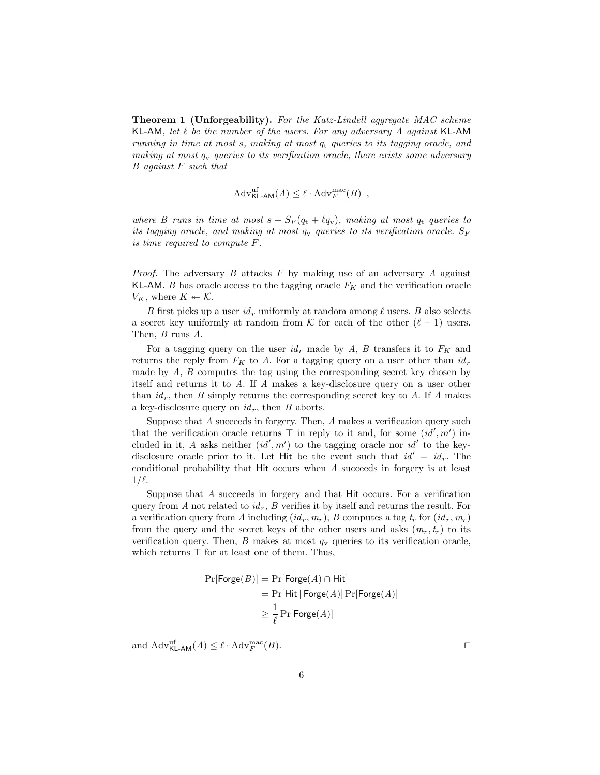**Theorem 1 (Unforgeability).** For the Katz-Lindell aggregate MAC scheme KL-AM, let  $\ell$  be the number of the users. For any adversary A against KL-AM running in time at most  $s$ , making at most  $q_t$  queries to its tagging oracle, and making at most  $q_v$  queries to its verification oracle, there exists some adversary B against F such that

$$
Adv_{\mathsf{KL-AM}}^{\text{uf}}(A) \le \ell \cdot \text{Adv}_{F}^{\text{mac}}(B) ,
$$

where B runs in time at most  $s + S_F(q_t + \ell q_v)$ , making at most  $q_t$  queries to its tagging oracle, and making at most  $q_v$  queries to its verification oracle.  $S_F$ is time required to compute F.

*Proof.* The adversary  $B$  attacks  $F$  by making use of an adversary  $A$  against KL-AM. B has oracle access to the tagging oracle  $F_K$  and the verification oracle  $V_K$ , where  $K \leftarrow \mathcal{K}$ .

B first picks up a user  $id_r$  uniformly at random among  $\ell$  users. B also selects a secret key uniformly at random from K for each of the other  $(\ell - 1)$  users. Then, B runs A.

For a tagging query on the user  $id_r$  made by A, B transfers it to  $F_K$  and returns the reply from  $F_K$  to A. For a tagging query on a user other than  $id_r$ made by  $A$ ,  $B$  computes the tag using the corresponding secret key chosen by itself and returns it to A. If A makes a key-disclosure query on a user other than  $id_r$ , then B simply returns the corresponding secret key to A. If A makes a key-disclosure query on  $id<sub>r</sub>$ , then B aborts.

Suppose that A succeeds in forgery. Then, A makes a verification query such that the verification oracle returns  $\top$  in reply to it and, for some  $(id', m')$  included in it, A asks neither  $(id', m')$  to the tagging oracle nor  $id'$  to the keydisclosure oracle prior to it. Let Hit be the event such that  $id' = id_r$ . The conditional probability that Hit occurs when A succeeds in forgery is at least  $1/\ell$ .

Suppose that A succeeds in forgery and that Hit occurs. For a verification query from A not related to  $id_r$ , B verifies it by itself and returns the result. For a verification query from A including  $(id_r, m_r)$ , B computes a tag  $t_r$  for  $(id_r, m_r)$ from the query and the secret keys of the other users and asks  $(m_r, t_r)$  to its verification query. Then, B makes at most  $q_v$  queries to its verification oracle, which returns  $\top$  for at least one of them. Thus,

$$
Pr[Forge(B)] = Pr[Forge(A) \cap Hit]
$$
  
= Pr[Hit | Forge(A)] Pr[Forge(A)]  

$$
\geq \frac{1}{\ell} Pr[Forge(A)]
$$

and  $\mathrm{Adv}_{\mathsf{KL-AM}}^{\mathrm{uf}}(A) \leq \ell \cdot \mathrm{Adv}_{F}^{\mathrm{mac}}(B).$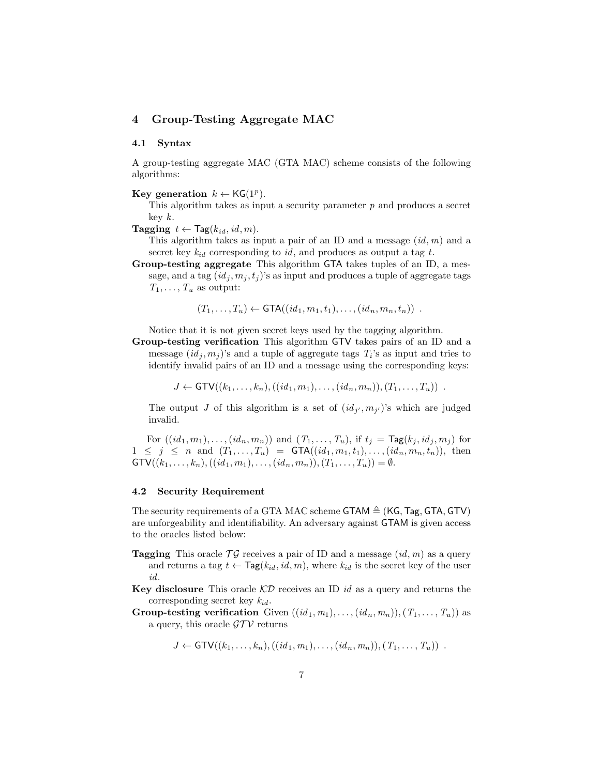# 4 Group-Testing Aggregate MAC

### 4.1 Syntax

A group-testing aggregate MAC (GTA MAC) scheme consists of the following algorithms:

Key generation  $k \leftarrow \mathsf{KG}(1^p)$ .

This algorithm takes as input a security parameter  $p$  and produces a secret key k.

**Tagging**  $t \leftarrow \text{Tag}(k_{id}, id, m)$ .

This algorithm takes as input a pair of an ID and a message  $(id, m)$  and a secret key  $k_{id}$  corresponding to id, and produces as output a tag t.

Group-testing aggregate This algorithm GTA takes tuples of an ID, a message, and a tag  $(id_j, m_j, t_j)$ 's as input and produces a tuple of aggregate tags  $T_1, \ldots, T_u$  as output:

$$
(T_1,\ldots,T_u) \leftarrow \text{GTA}((id_1,m_1,t_1),\ldots,(id_n,m_n,t_n)) \enspace .
$$

Notice that it is not given secret keys used by the tagging algorithm.

Group-testing verification This algorithm GTV takes pairs of an ID and a message  $(id_j, m_j)$ 's and a tuple of aggregate tags  $T_i$ 's as input and tries to identify invalid pairs of an ID and a message using the corresponding keys:

 $J \leftarrow$  GTV $((k_1, \ldots, k_n), ((id_1, m_1), \ldots, (id_n, m_n)), (T_1, \ldots, T_u))$ .

The output J of this algorithm is a set of  $(id_{j'}, m_{j'})$ 's which are judged invalid.

For  $((id_1, m_1), \ldots, (id_n, m_n))$  and  $(T_1, \ldots, T_u)$ , if  $t_j = \text{Tag}(k_j, id_j, m_j)$  for  $1 \leq j \leq n$  and  $(T_1, \ldots, T_u) = \text{GTA}((id_1, m_1, t_1), \ldots, (id_n, m_n, t_n)),$  then  $\mathsf{GTV}((k_1,\ldots,k_n),((id_1,m_1),\ldots,(id_n,m_n)),(T_1,\ldots,T_u)) = \emptyset.$ 

#### 4.2 Security Requirement

The security requirements of a GTA MAC scheme GTAM  $\triangleq$  (KG, Tag, GTA, GTV) are unforgeability and identifiability. An adversary against GTAM is given access to the oracles listed below:

- **Tagging** This oracle  $\mathcal{T}\mathcal{G}$  receives a pair of ID and a message  $(id, m)$  as a query and returns a tag  $t \leftarrow \text{Tag}(k_{id}, id, m)$ , where  $k_{id}$  is the secret key of the user id.
- **Key disclosure** This oracle  $\mathcal{KD}$  receives an ID id as a query and returns the corresponding secret key  $k_{id}$ .
- Group-testing verification Given  $((id_1, m_1), \ldots, (id_n, m_n)), (T_1, \ldots, T_u))$  as a query, this oracle  $\mathcal{GTV}$  returns

$$
J \leftarrow GTV((k_1, ..., k_n), ((id_1, m_1), ..., (id_n, m_n)), (T_1, ..., T_u))
$$
.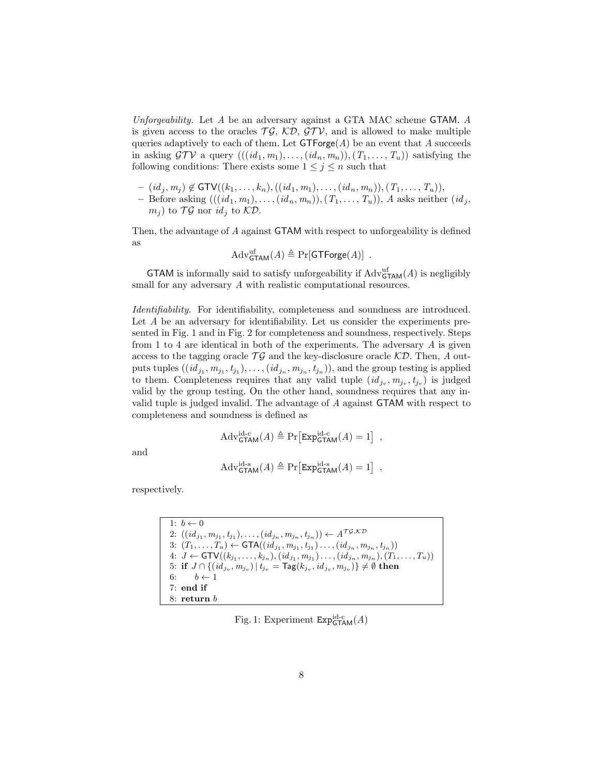Unforgeability. Let A be an adversary against a GTA MAC scheme GTAM. A is given access to the oracles  $\mathcal{T}\mathcal{G},\mathcal{K}\mathcal{D},\mathcal{G}\mathcal{T}\mathcal{V},$  and is allowed to make multiple queries adaptively to each of them. Let  $GTForge(A)$  be an event that A succeeds in asking  $\mathcal{GTV}$  a query  $(((id_1, m_1), \ldots, (id_n, m_n)), (T_1, \ldots, T_u))$  satisfying the following conditions: There exists some  $1 \leq j \leq n$  such that

- $(id_j, m_j) \notin \text{GTV}((k_1, \ldots, k_n), ((id_1, m_1), \ldots, (id_n, m_n)), (T_1, \ldots, T_u)),$
- Before asking  $(((id_1, m_1), \ldots, (id_n, m_n)), (T_1, \ldots, T_u)), A$  asks neither  $(id_j,$  $(m_i)$  to  $\mathcal{T}\mathcal{G}$  nor  $id_i$  to  $\mathcal{KD}$ .

Then, the advantage of A against GTAM with respect to unforgeability is defined as

$$
Adv_{\mathsf{GTAM}}^{\text{uf}}(A) \triangleq \Pr[\mathsf{GTForge}(A)] .
$$

**GTAM** is informally said to satisfy unforgeability if  $\text{Adv}_{\text{GTAM}}^{\text{uf}}(A)$  is negligibly small for any adversary A with realistic computational resources.

Identifiability. For identifiability, completeness and soundness are introduced. Let A be an adversary for identifiability. Let us consider the experiments presented in Fig. 1 and in Fig. 2 for completeness and soundness, respectively. Steps from 1 to 4 are identical in both of the experiments. The adversary A is given access to the tagging oracle  $\mathcal{T}\mathcal{G}$  and the key-disclosure oracle  $\mathcal{KD}$ . Then, A outputs tuples  $((id_{j_1}, m_{j_1}, t_{j_1}), \ldots, (id_{j_n}, m_{j_n}, t_{j_n})),$  and the group testing is applied to them. Completeness requires that any valid tuple  $(id_{j_v}, m_{j_v}, t_{j_v})$  is judged valid by the group testing. On the other hand, soundness requires that any invalid tuple is judged invalid. The advantage of A against GTAM with respect to completeness and soundness is defined as

$$
Adv_{\mathsf{GTAM}}^{\mathrm{id-c}}(A) \triangleq \Pr\left[\mathrm{Exp}_{\mathsf{GTAM}}^{\mathrm{id-c}}(A) = 1\right] ,
$$

and

$$
Adv_{\mathsf{GTAM}}^{\mathrm{id}\text{-s}}(A) \triangleq \Pr\left[\text{Exp}_{\mathsf{GTAM}}^{\mathrm{id}\text{-s}}(A) = 1\right] \;,
$$

respectively.

| 1: $b \leftarrow 0$                                                                                                |
|--------------------------------------------------------------------------------------------------------------------|
| 2: $((id_{j_1}, m_{j_1}, t_{j_1}), \ldots, (id_{j_n}, m_{j_n}, t_{j_n})) \leftarrow A^{\mathcal{TG},\mathcal{KD}}$ |
| 3: $(T_1, \ldots, T_u) \leftarrow \text{GTA}((id_{j_1}, m_{j_1}, t_{j_1}) \ldots, (id_{j_n}, m_{j_n}, t_{j_n}))$   |
| 4: $J \leftarrow GTV((k_{j_1},,k_{j_n}),(id_{j_1},m_{j_1}), (id_{j_n},m_{j_n}),(T_1,,T_u))$                        |
| 5: if $J \cap \{(id_{j_v}, m_{j_v})   t_{j_v} = \text{Tag}(k_{j_v}, id_{j_v}, m_{j_v})\} \neq \emptyset$ then      |
| 6: $b \leftarrow 1$                                                                                                |
| $7:$ end if                                                                                                        |
| $8:$ return $b$                                                                                                    |

Fig. 1: Experiment  $\text{Exp}^{\text{id-c}}_{\text{GTAM}}(A)$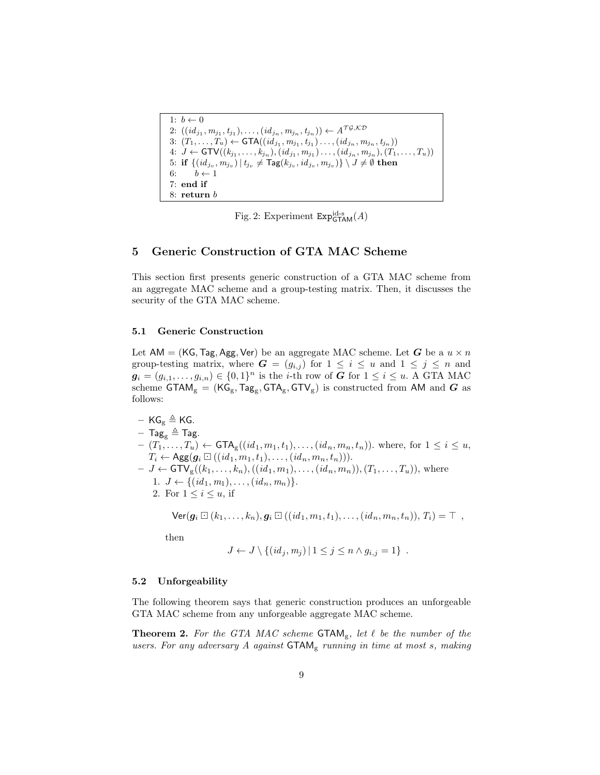```
1: b \leftarrow 02: ((id_{j_1}, m_{j_1}, t_{j_1}), \ldots, (id_{j_n}, m_{j_n}, t_{j_n})) \leftarrow A^{\mathcal{T}\mathcal{G},\mathcal{K}\mathcal{D}}3: (T_1, ..., T_u) \leftarrow \text{GTA}((id_{j_1}, m_{j_1}, t_{j_1}) \dots, (id_{j_n}, m_{j_n}, t_{j_n}))4: J \leftarrow GTV((k_{j_1}, \ldots, k_{j_n}), (id_{j_1}, m_{j_1}) \ldots, (id_{j_n}, m_{j_n}), (T_1, \ldots, T_u))5\colon \textbf{if } \{(id_{j_v},m_{j_v})\,|\, t_{j_v}\neq \textsf{Tag}(k_{j_v},id_{j_v},m_{j_v})\}\setminus J \neq \emptyset \textbf{ then}6: b \leftarrow 17: end if
8: return b
```
Fig. 2: Experiment  $\text{Exp}^{\text{id-s}}_{\text{GTAM}}(A)$ 

### 5 Generic Construction of GTA MAC Scheme

This section first presents generic construction of a GTA MAC scheme from an aggregate MAC scheme and a group-testing matrix. Then, it discusses the security of the GTA MAC scheme.

#### 5.1 Generic Construction

Let AM = (KG, Tag, Agg, Ver) be an aggregate MAC scheme. Let G be a  $u \times n$ group-testing matrix, where  $G = (g_{i,j})$  for  $1 \leq i \leq u$  and  $1 \leq j \leq n$  and  $g_i = (g_{i,1}, \ldots, g_{i,n}) \in \{0,1\}^n$  is the *i*-th row of G for  $1 \leq i \leq u$ . A GTA MAC scheme  $\mathsf{GTAM}_g = (\mathsf{KG}_g, \mathsf{Tag}_g, \mathsf{GTA}_g, \mathsf{GTV}_g)$  is constructed from AM and  $G$  as follows:

- 
$$
\text{KG}_{g} \triangleq \text{KG}
$$
.  
\n-  $\text{Tag}_{g} \triangleq \text{Tag}$ .  
\n-  $(T_1, \ldots, T_u) \leftarrow \text{GTA}_{g}((id_1, m_1, t_1), \ldots, (id_n, m_n, t_n))$ . where, for  $1 \leq i \leq u$ ,  $T_i \leftarrow \text{Agg}(g_i \boxdot ((id_1, m_1, t_1), \ldots, (id_n, m_n, t_n)))$ .  
\n-  $J \leftarrow \text{GTV}_{g}((k_1, \ldots, k_n), ((id_1, m_1), \ldots, (id_n, m_n)), (T_1, \ldots, T_u))$ , where  $1. J \leftarrow \{(id_1, m_1), \ldots, (id_n, m_n)\}$ .  
\n2. For  $1 \leq i \leq u$ , if

 $\text{Ver}(\bm{g}_i \boxdot (k_1, \ldots, k_n), \bm{g}_i \boxdot ((id_1, m_1, t_1), \ldots, (id_n, m_n, t_n)), T_i) = \top$ ,

then

$$
J \leftarrow J \setminus \{(id_j, m_j) | 1 \leq j \leq n \wedge g_{i,j} = 1\}.
$$

#### 5.2 Unforgeability

The following theorem says that generic construction produces an unforgeable GTA MAC scheme from any unforgeable aggregate MAC scheme.

**Theorem 2.** For the GTA MAC scheme  $\mathsf{GTAM}_{g}$ , let  $\ell$  be the number of the users. For any adversary  $A$  against  $\mathsf{GTAM}_g$  running in time at most s, making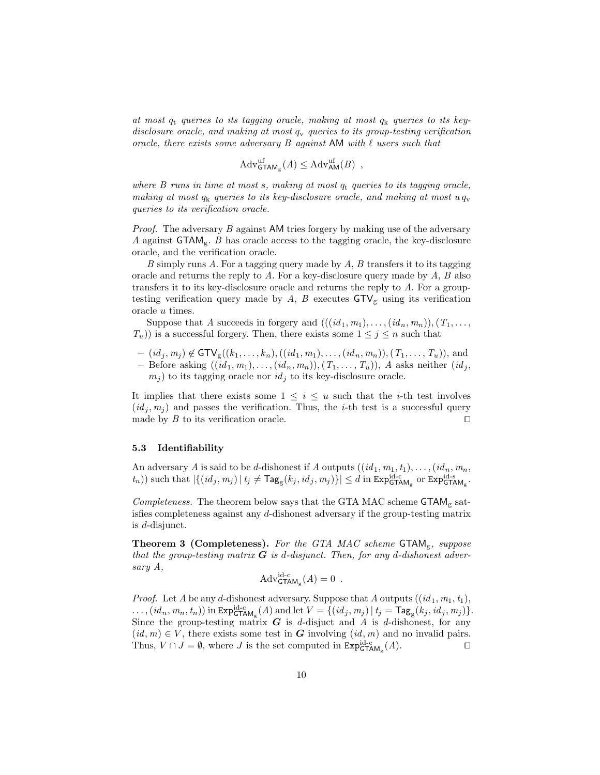at most  $q_t$  queries to its tagging oracle, making at most  $q_k$  queries to its keydisclosure oracle, and making at most  $q_v$  queries to its group-testing verification oracle, there exists some adversary  $B$  against AM with  $\ell$  users such that

$$
Adv_{\mathsf{GTAM}_g}^{\text{uf}}(A) \leq Adv_{\mathsf{AM}}^{\text{uf}}(B) ,
$$

where B runs in time at most s, making at most  $q_t$  queries to its tagging oracle, making at most  $q_k$  queries to its key-disclosure oracle, and making at most  $u q_v$ queries to its verification oracle.

Proof. The adversary B against AM tries forgery by making use of the adversary A against  $GTAM<sub>g</sub>$ . B has oracle access to the tagging oracle, the key-disclosure oracle, and the verification oracle.

 $B$  simply runs  $A$ . For a tagging query made by  $A$ ,  $B$  transfers it to its tagging oracle and returns the reply to A. For a key-disclosure query made by  $A, B$  also transfers it to its key-disclosure oracle and returns the reply to A. For a grouptesting verification query made by A, B executes  $GTV<sub>g</sub>$  using its verification oracle u times.

Suppose that A succeeds in forgery and  $(((id_1, m_1), \ldots, (id_n, m_n)), (T_1, \ldots,$  $T_u$ )) is a successful forgery. Then, there exists some  $1 \leq j \leq n$  such that

 $- (id_j, m_j) \notin \text{GTV}_g((k_1, \ldots, k_n), ((id_1, m_1), \ldots, (id_n, m_n)), (T_1, \ldots, T_u)),$  and – Before asking  $((id_1, m_1), \ldots, (id_n, m_n)), (T_1, \ldots, T_u)$ , A asks neither  $(id_j,$  $m_i$ ) to its tagging oracle nor  $id_i$  to its key-disclosure oracle.

It implies that there exists some  $1 \leq i \leq u$  such that the *i*-th test involves  $(id<sub>i</sub>, m<sub>i</sub>)$  and passes the verification. Thus, the *i*-th test is a successful query made by  $B$  to its verification oracle.

#### 5.3 Identifiability

An adversary A is said to be d-dishonest if A outputs  $((id_1, m_1, t_1), \ldots, (id_n, m_n, t_n))$  $(t_n)$ ) such that  $|\{(id_j, m_j) | t_j \neq \text{Tag}_g(k_j, id_j, m_j)\}| \leq d$  in  $\text{Exp}_{\text{GTAM}_g}^{\text{id-c}}$  or  $\text{Exp}_{\text{GTAM}_g}^{\text{id-s}}$ .

Completeness. The theorem below says that the GTA MAC scheme  $GTAM<sub>g</sub>$  satisfies completeness against any d-dishonest adversary if the group-testing matrix is d-disjunct.

**Theorem 3 (Completeness).** For the GTA MAC scheme  $\text{GTAM}_g$ , suppose that the group-testing matrix  $G$  is d-disjunct. Then, for any d-dishonest adversary A,

$$
Adv_{\mathsf{GTAM}_g}^{\mathrm{id-c}}(A) = 0 .
$$

*Proof.* Let A be any d-dishonest adversary. Suppose that A outputs  $((id_1, m_1, t_1),$  $\ldots$ ,  $(id_n, m_n, t_n)$  in  $\texttt{Exp}^{\text{id-c}}_{\texttt{GTAM}_g}(A)$  and let  $V = \{(id_j, m_j) | t_j = \textsf{Tag}_g(k_j, id_j, m_j)\}.$ Since the group-testing matrix  $G$  is d-disjuct and A is d-dishonest, for any  $(id, m) \in V$ , there exists some test in G involving  $(id, m)$  and no invalid pairs. Thus,  $V \cap J = \emptyset$ , where J is the set computed in  $\text{Exp}_{\text{GTAM}_g}^{\text{id}-c}(A)$ .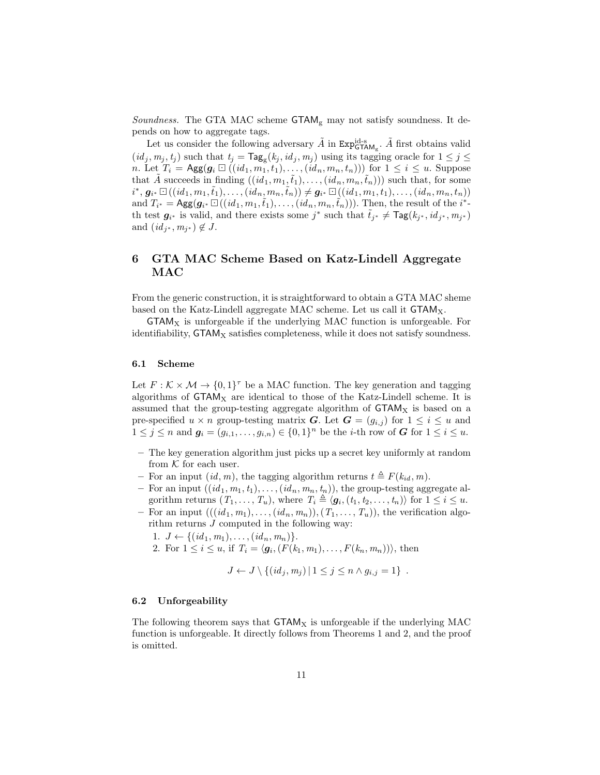*Soundness.* The GTA MAC scheme  $\mathsf{GTAM}_{\mathrm{g}}$  may not satisfy soundness. It depends on how to aggregate tags.

Let us consider the following adversary  $\tilde{A}$  in  $\text{Exp}^{\text{id-s}}_{\text{GTAM}_g}$ .  $\tilde{A}$  first obtains valid  $(id_j, m_j, t_j)$  such that  $t_j = \text{Tag}_g(k_j, id_j, m_j)$  using its tagging oracle for  $1 \leq j \leq j$ n. Let  $T_i = \text{Agg}(g_i \boxdot ((id_1, m_1, t_1), \dots, (id_n, m_n, t_n)))$  for  $1 \leq i \leq u$ . Suppose that A succeeds in finding  $((id_1, m_1, \tilde{t}_1), \ldots, (id_n, m_n, \tilde{t}_n)))$  such that, for some  $i^*, \, \boldsymbol{g}_{i^*} \boxdot ((id_1, m_1, \tilde{t}_1), \ldots, (id_n, m_n, \tilde{t}_n)) \neq \boldsymbol{g}_{i^*} \boxdot ((id_1, m_1, t_1), \ldots, (id_n, m_n, t_n))$ and  $T_{i^*} = \text{Agg}(g_{i^*} \boxdot((id_1, m_1, \tilde{t}_1), \ldots, (id_n, m_n, \tilde{t}_n)))$ . Then, the result of the  $i^*$ th test  $g_{i^*}$  is valid, and there exists some j<sup>\*</sup> such that  $\tilde{t}_{j^*} \neq \text{Tag}(k_{j^*}, id_{j^*}, m_{j^*})$ and  $(id_{j^*}, m_{j^*}) \notin J$ .

# 6 GTA MAC Scheme Based on Katz-Lindell Aggregate MAC

From the generic construction, it is straightforward to obtain a GTA MAC sheme based on the Katz-Lindell aggregate MAC scheme. Let us call it  $\text{GTAM}_X$ .

 $\mathsf{GTAM}_X$  is unforgeable if the underlying MAC function is unforgeable. For identifiability,  $\text{GTAM}_X$  satisfies completeness, while it does not satisfy soundness.

#### 6.1 Scheme

Let  $F : \mathcal{K} \times \mathcal{M} \to \{0,1\}^{\tau}$  be a MAC function. The key generation and tagging algorithms of  $\text{GTAM}_X$  are identical to those of the Katz-Lindell scheme. It is assumed that the group-testing aggregate algorithm of  $\text{GTAM}_X$  is based on a pre-specified  $u \times n$  group-testing matrix G. Let  $G = (g_{i,j})$  for  $1 \leq i \leq u$  and  $1 \leq j \leq n$  and  $g_i = (g_{i,1}, \ldots, g_{i,n}) \in \{0,1\}^n$  be the *i*-th row of *G* for  $1 \leq i \leq u$ .

- The key generation algorithm just picks up a secret key uniformly at random from  $K$  for each user.
- For an input  $(id, m)$ , the tagging algorithm returns  $t \triangleq F(k_{id}, m)$ .
- For an input  $((id_1, m_1, t_1), \ldots, (id_n, m_n, t_n))$ , the group-testing aggregate algorithm returns  $(T_1, \ldots, T_u)$ , where  $T_i \triangleq \langle g_i, (t_1, t_2, \ldots, t_n) \rangle$  for  $1 \leq i \leq u$ .
- For an input  $(((id_1, m_1), \ldots, (id_n, m_n)), (T_1, \ldots, T_u))$ , the verification algorithm returns J computed in the following way:
	- 1.  $J \leftarrow \{(id_1, m_1), \ldots, (id_n, m_n)\}.$
	- 2. For  $1 \le i \le u$ , if  $T_i = \langle g_i, (F(k_1, m_1), \dots, F(k_n, m_n)) \rangle$ , then

$$
J \leftarrow J \setminus \{(id_j, m_j) | 1 \leq j \leq n \wedge g_{i,j} = 1\}.
$$

#### 6.2 Unforgeability

The following theorem says that  $\mathsf{GTAM}_X$  is unforgeable if the underlying MAC function is unforgeable. It directly follows from Theorems 1 and 2, and the proof is omitted.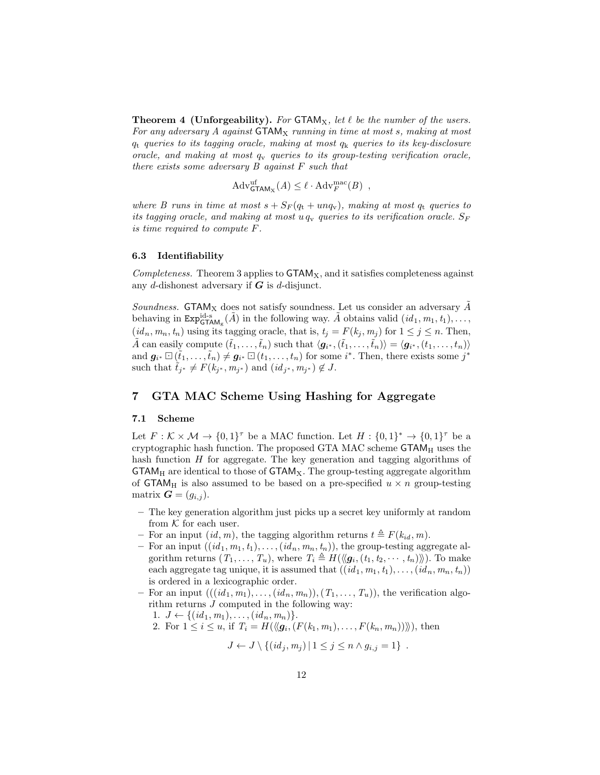**Theorem 4 (Unforgeability).** For  $GTAM_X$ , let  $\ell$  be the number of the users. For any adversary  $A$  against  $\mathsf{GTAM}_X$  running in time at most s, making at most  $q_t$  queries to its tagging oracle, making at most  $q_k$  queries to its key-disclosure oracle, and making at most  $q_v$  queries to its group-testing verification oracle, there exists some adversary B against F such that

$$
Adv_{\mathsf{GTAM}_X}^{\text{uf}}(A) \leq \ell \cdot \mathrm{Adv}_F^{\text{mac}}(B) ,
$$

where B runs in time at most  $s + S_F(q_t + u n q_v)$ , making at most  $q_t$  queries to its tagging oracle, and making at most  $u q_v$  queries to its verification oracle.  $S_F$ is time required to compute F.

#### 6.3 Identifiability

Completeness. Theorem 3 applies to  $\mathsf{GTAM}_X$ , and it satisfies completeness against any d-dishonest adversary if  $G$  is d-disjunct.

Soundness. GTAM<sub>X</sub> does not satisfy soundness. Let us consider an adversary  $\ddot{A}$ behaving in  $\text{Exp}^{\text{id-s}}_{\text{GTAM}_g}(\tilde{A})$  in the following way.  $\tilde{A}$  obtains valid  $(id_1, m_1, t_1), \ldots,$  $(id_n, m_n, t_n)$  using its tagging oracle, that is,  $t_j = F(k_j, m_j)$  for  $1 \leq j \leq n$ . Then,  $\tilde{A}$  can easily compute  $(\tilde{t}_1, \ldots, \tilde{t}_n)$  such that  $\langle \mathbf{g}_{i^*}, (\tilde{t}_1, \ldots, \tilde{t}_n) \rangle = \langle \mathbf{g}_{i^*}, (t_1, \ldots, t_n) \rangle$ and  $g_{i^*} \Box (\tilde{t}_1, \ldots, \tilde{t}_n) \neq g_{i^*} \Box (t_1, \ldots, t_n)$  for some  $i^*$ . Then, there exists some  $j^*$ such that  $\tilde{t}_{j^*} \neq F(k_{j^*}, m_{j^*})$  and  $(id_{j^*}, m_{j^*}) \notin J$ .

### 7 GTA MAC Scheme Using Hashing for Aggregate

#### 7.1 Scheme

Let  $F: \mathcal{K} \times \mathcal{M} \to \{0,1\}^{\tau}$  be a MAC function. Let  $H: \{0,1\}^* \to \{0,1\}^{\tau}$  be a cryptographic hash function. The proposed GTA MAC scheme  $GTAM_H$  uses the hash function  $H$  for aggregate. The key generation and tagging algorithms of  $GTAM_H$  are identical to those of  $GTAM_X$ . The group-testing aggregate algorithm of  $\text{GTAM}_{\text{H}}$  is also assumed to be based on a pre-specified  $u \times n$  group-testing matrix  $\mathbf{G} = (g_{i,j}).$ 

- The key generation algorithm just picks up a secret key uniformly at random from  $K$  for each user.
- For an input  $(id, m)$ , the tagging algorithm returns  $t \triangleq F(k_{id}, m)$ .
- For an input  $((id_1, m_1, t_1), \ldots, (id_n, m_n, t_n))$ , the group-testing aggregate algorithm returns  $(T_1, \ldots, T_u)$ , where  $T_i \triangleq H(\langle g_i, (t_1, t_2, \cdots, t_n) \rangle)$ . To make each aggregate tag unique, it is assumed that  $((id_1, m_1, t_1), \ldots, (id_n, m_n, t_n))$ is ordered in a lexicographic order.
- For an input  $(((id_1, m_1), \ldots, (id_n, m_n)), (T_1, \ldots, T_u))$ , the verification algorithm returns J computed in the following way:
	- 1.  $J \leftarrow \{(id_1, m_1), \ldots, (id_n, m_n)\}.$
	- 2. For  $1 \le i \le u$ , if  $T_i = H(\langle g_i, (F(k_1, m_1), \ldots, F(k_n, m_n)) \rangle),$  then

$$
J \leftarrow J \setminus \{(id_j, m_j) | 1 \leq j \leq n \wedge g_{i,j} = 1\}.
$$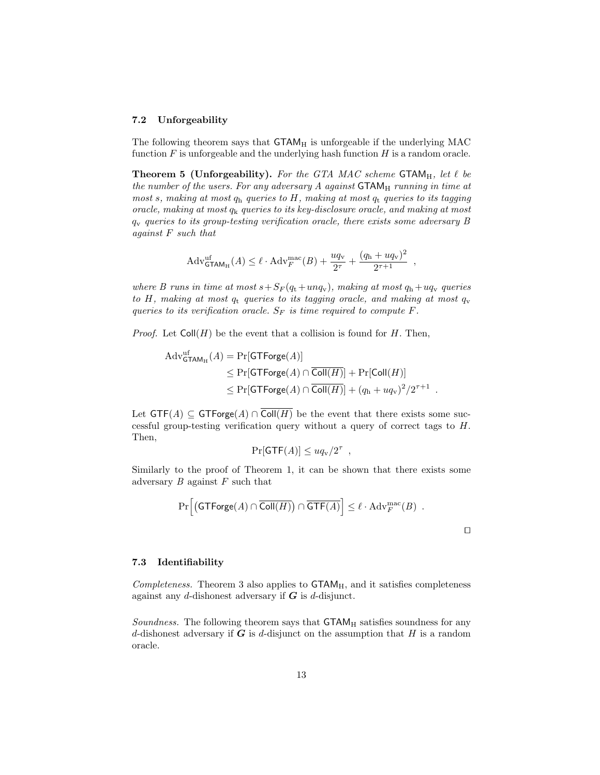#### 7.2 Unforgeability

The following theorem says that  $\mathsf{GTAM}_H$  is unforgeable if the underlying MAC function  $F$  is unforgeable and the underlying hash function  $H$  is a random oracle.

**Theorem 5 (Unforgeability).** For the GTA MAC scheme GTAM<sub>H</sub>, let  $\ell$  be the number of the users. For any adversary  $A$  against  $\mathsf{GTAM}_H$  running in time at most s, making at most  $q_h$  queries to H, making at most  $q_t$  queries to its tagging oracle, making at most  $q_k$  queries to its key-disclosure oracle, and making at most  $q<sub>v</sub>$  queries to its group-testing verification oracle, there exists some adversary B against F such that

$$
Adv_{\mathsf{GTAM}_{\mathsf{H}}}^{\text{uf}}(A) \le \ell \cdot \mathrm{Adv}_{F}^{\text{mac}}(B) + \frac{uq_{\mathsf{v}}}{2^{\tau}} + \frac{(q_{\mathsf{h}} + uq_{\mathsf{v}})^2}{2^{\tau+1}} ,
$$

where B runs in time at most  $s+S_F(q_t+unq_v)$ , making at most  $q_h+uq_v$  queries to H, making at most  $q_t$  queries to its tagging oracle, and making at most  $q_v$ queries to its verification oracle.  $S_F$  is time required to compute  $F$ .

*Proof.* Let  $Coll(H)$  be the event that a collision is found for H. Then,

$$
Adv_{\mathsf{GTAM}_{\mathsf{H}}^{H}}^{aff}(A) = \Pr[\mathsf{GTForge}(A)]
$$
  
\n
$$
\leq \Pr[\mathsf{GTForge}(A) \cap \overline{\mathsf{Coll}(H)}] + \Pr[\mathsf{Coll}(H)]
$$
  
\n
$$
\leq \Pr[\mathsf{GTForge}(A) \cap \overline{\mathsf{Coll}(H)}] + (q_{\mathsf{h}} + uq_{\mathsf{v}})^{2}/2^{\tau+1}.
$$

Let  $GTF(A) \subseteq GTForge(A) \cap \overline{Coll(H)}$  be the event that there exists some successful group-testing verification query without a query of correct tags to H. Then,

$$
\Pr[\mathsf{GTF}(A)] \leq uq_{\rm v}/2^{\tau} ,
$$

Similarly to the proof of Theorem 1, it can be shown that there exists some adversary  $B$  against  $F$  such that

$$
\Pr\Big[\big(\mathsf{GTForge}(A) \cap \overline{\mathsf{Coll}(H)}\big) \cap \overline{\mathsf{GTF}(A)}\Big] \leq \ell \cdot \mathrm{Adv}_{F}^{\mathrm{mac}}(B) .
$$

 $\Box$ 

#### 7.3 Identifiability

Completeness. Theorem 3 also applies to  $\mathsf{CTAM}_H$ , and it satisfies completeness against any  $d$ -dishonest adversary if  $G$  is  $d$ -disjunct.

*Soundness.* The following theorem says that  $G TAM<sub>H</sub>$  satisfies soundness for any d-dishonest adversary if  $G$  is d-disjunct on the assumption that  $H$  is a random oracle.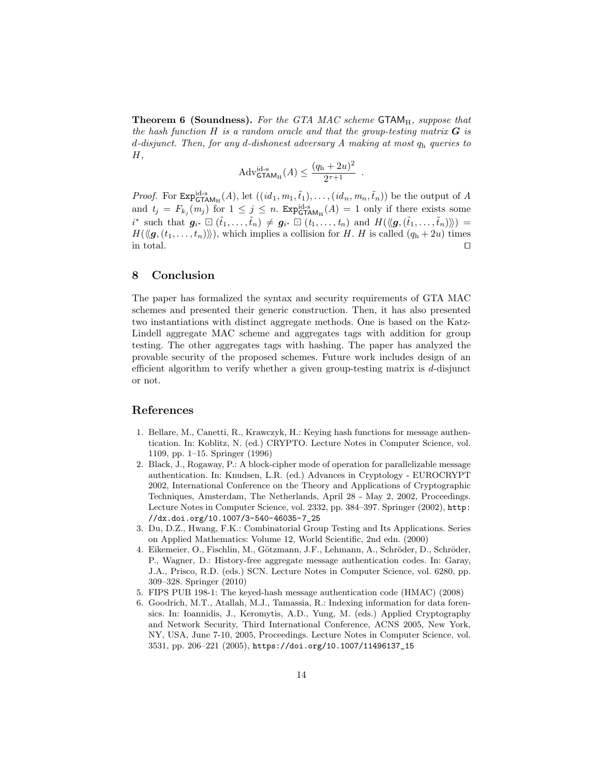**Theorem 6 (Soundness).** For the GTA MAC scheme  $\mathsf{GTAM}_H$ , suppose that the hash function  $H$  is a random oracle and that the group-testing matrix  $G$  is d-disjunct. Then, for any d-dishonest adversary A making at most  $q_h$  queries to  $H,$ 

$$
Adv_{\mathsf{GTAM}_{\mathsf{H}}}^{\mathrm{id}\text{-s}}(A) \le \frac{(q_{\mathrm{h}} + 2u)^2}{2^{\tau+1}}.
$$

*Proof.* For  $\text{Exp}_{\text{GTAM}_H}^{id-s}(A)$ , let  $((id_1, m_1, \tilde{t}_1), \ldots, (id_n, m_n, \tilde{t}_n))$  be the output of A and  $t_j = F_{k_j}(m_j)$  for  $1 \leq j \leq n$ .  $Exp_{GTAM_H}^{\text{id-s}}(A) = 1$  only if there exists some  $i^*$  such that  $g_{i^*} \square (\tilde{t}_1, \ldots, \tilde{t}_n) \neq g_{i^*} \square (t_1, \ldots, t_n)$  and  $H(\langle g, (\tilde{t}_1, \ldots, \tilde{t}_n) \rangle) =$  $H(\langle g, (t_1, \ldots, t_n) \rangle)$ , which implies a collision for H. H is called  $(q_h + 2u)$  times in total.

# 8 Conclusion

The paper has formalized the syntax and security requirements of GTA MAC schemes and presented their generic construction. Then, it has also presented two instantiations with distinct aggregate methods. One is based on the Katz-Lindell aggregate MAC scheme and aggregates tags with addition for group testing. The other aggregates tags with hashing. The paper has analyzed the provable security of the proposed schemes. Future work includes design of an efficient algorithm to verify whether a given group-testing matrix is  $d$ -disjunct or not.

### References

- 1. Bellare, M., Canetti, R., Krawczyk, H.: Keying hash functions for message authentication. In: Koblitz, N. (ed.) CRYPTO. Lecture Notes in Computer Science, vol. 1109, pp. 1–15. Springer (1996)
- 2. Black, J., Rogaway, P.: A block-cipher mode of operation for parallelizable message authentication. In: Knudsen, L.R. (ed.) Advances in Cryptology - EUROCRYPT 2002, International Conference on the Theory and Applications of Cryptographic Techniques, Amsterdam, The Netherlands, April 28 - May 2, 2002, Proceedings. Lecture Notes in Computer Science, vol. 2332, pp. 384–397. Springer (2002), http: //dx.doi.org/10.1007/3-540-46035-7\_25
- 3. Du, D.Z., Hwang, F.K.: Combinatorial Group Testing and Its Applications. Series on Applied Mathematics: Volume 12, World Scientific, 2nd edn. (2000)
- 4. Eikemeier, O., Fischlin, M., Götzmann, J.F., Lehmann, A., Schröder, D., Schröder, P., Wagner, D.: History-free aggregate message authentication codes. In: Garay, J.A., Prisco, R.D. (eds.) SCN. Lecture Notes in Computer Science, vol. 6280, pp. 309–328. Springer (2010)
- 5. FIPS PUB 198-1: The keyed-hash message authentication code (HMAC) (2008)
- 6. Goodrich, M.T., Atallah, M.J., Tamassia, R.: Indexing information for data forensics. In: Ioannidis, J., Keromytis, A.D., Yung, M. (eds.) Applied Cryptography and Network Security, Third International Conference, ACNS 2005, New York, NY, USA, June 7-10, 2005, Proceedings. Lecture Notes in Computer Science, vol. 3531, pp. 206–221 (2005), https://doi.org/10.1007/11496137\_15